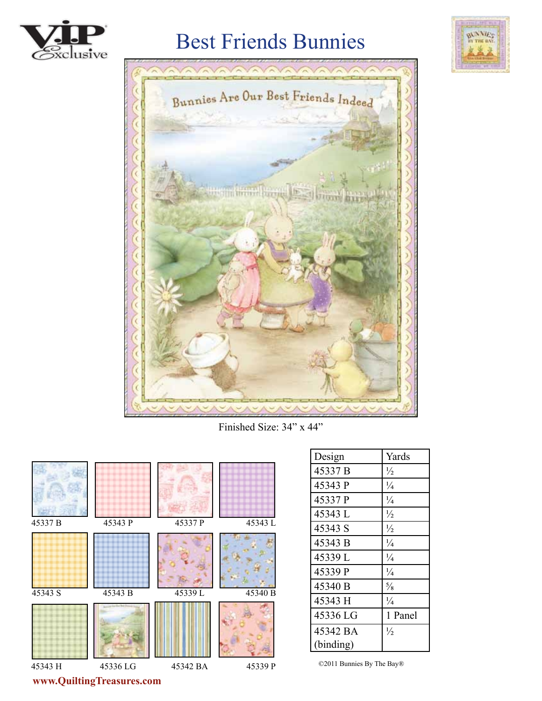

# Best Friends Bunnies





Finished Size: 34" x 44"



| Design    | Yards         |
|-----------|---------------|
| 45337 B   | $\frac{1}{2}$ |
| 45343 P   | $\frac{1}{4}$ |
| 45337 P   | $\frac{1}{4}$ |
| 45343 L   | $\frac{1}{2}$ |
| 45343 S   | $\frac{1}{2}$ |
| 45343 B   | $\frac{1}{4}$ |
| 45339L    | $\frac{1}{4}$ |
| 45339 P   | $\frac{1}{4}$ |
| 45340 B   | $\frac{5}{8}$ |
| 45343 H   | $\frac{1}{4}$ |
| 45336 LG  | 1 Panel       |
| 45342 BA  | $\frac{1}{2}$ |
| (binding) |               |

©2011 Bunnies By The Bay®

**www.QuiltingTreasures.com**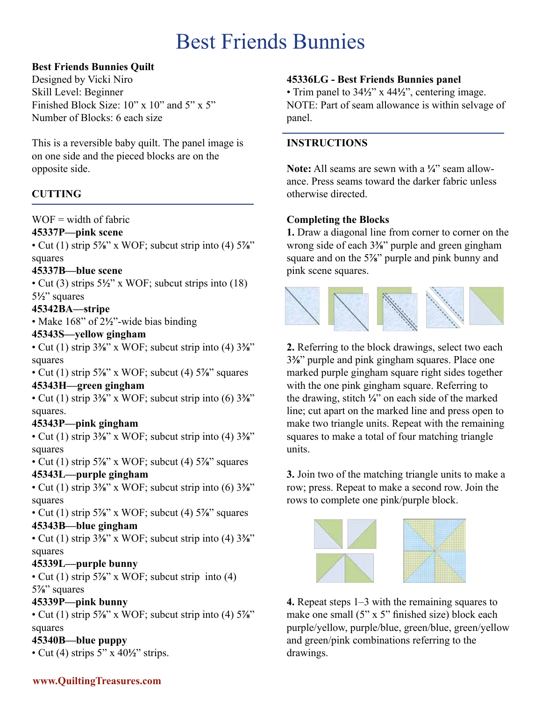# Best Friends Bunnies

## **Best Friends Bunnies Quilt**

Designed by Vicki Niro Skill Level: Beginner Finished Block Size: 10" x 10" and 5" x 5" Number of Blocks: 6 each size

This is a reversible baby quilt. The panel image is on one side and the pieced blocks are on the opposite side.

# **CUTTING**

### $WOF = width of fabric$

#### **45337P—pink scene**

• Cut (1) strip 5**⅞**" x WOF; subcut strip into (4) 5**⅞**" squares

### **45337B—blue scene**

• Cut (3) strips 5**½**" x WOF; subcut strips into (18) 5**½**" squares

# **45342BA—stripe**

• Make 168" of 2**½**"-wide bias binding

#### **45343S—yellow gingham**

• Cut (1) strip 3**⅜**" x WOF; subcut strip into (4) 3**⅜**" squares

• Cut (1) strip 5**⅞**" x WOF; subcut (4) 5**⅞**" squares

### **45343H—green gingham**

• Cut (1) strip 3**⅜**" x WOF; subcut strip into (6) 3**⅜**" squares.

### **45343P—pink gingham**

• Cut (1) strip 3**⅜**" x WOF; subcut strip into (4) 3**⅜**" squares

• Cut (1) strip 5**⅞**" x WOF; subcut (4) 5**⅞**" squares **45343L—purple gingham**

• Cut (1) strip 3**⅜**" x WOF; subcut strip into (6) 3**⅜**" squares

• Cut (1) strip 5**⅞**" x WOF; subcut (4) 5**⅞**" squares **45343B—blue gingham**

• Cut (1) strip 3**⅜**" x WOF; subcut strip into (4) 3**⅜**" squares

### **45339L—purple bunny**

• Cut (1) strip 5**⅞**" x WOF; subcut strip into (4) 5**⅞**" squares

## **45339P—pink bunny**

• Cut (1) strip 5**⅞**" x WOF; subcut strip into (4) 5**⅞**" squares

# **45340B—blue puppy**

• Cut (4) strips 5" x 40**½**" strips.

### **45336LG - Best Friends Bunnies panel**

• Trim panel to 34**½**" x 44**½**", centering image. NOTE: Part of seam allowance is within selvage of panel.

### **INSTRUCTIONS**

**Note:** All seams are sewn with a **¼**" seam allowance. Press seams toward the darker fabric unless otherwise directed.

### **Completing the Blocks**

**1.** Draw a diagonal line from corner to corner on the wrong side of each 3**⅜**" purple and green gingham square and on the 5**⅞**" purple and pink bunny and pink scene squares.

![](_page_1_Picture_35.jpeg)

**2.** Referring to the block drawings, select two each 3**⅜**" purple and pink gingham squares. Place one marked purple gingham square right sides together with the one pink gingham square. Referring to the drawing, stitch **¼**" on each side of the marked line; cut apart on the marked line and press open to make two triangle units. Repeat with the remaining squares to make a total of four matching triangle units.

**3.** Join two of the matching triangle units to make a row; press. Repeat to make a second row. Join the rows to complete one pink/purple block.

![](_page_1_Picture_38.jpeg)

**4.** Repeat steps 1–3 with the remaining squares to make one small  $(5" \times 5"$  finished size) block each purple/yellow, purple/blue, green/blue, green/yellow and green/pink combinations referring to the drawings.